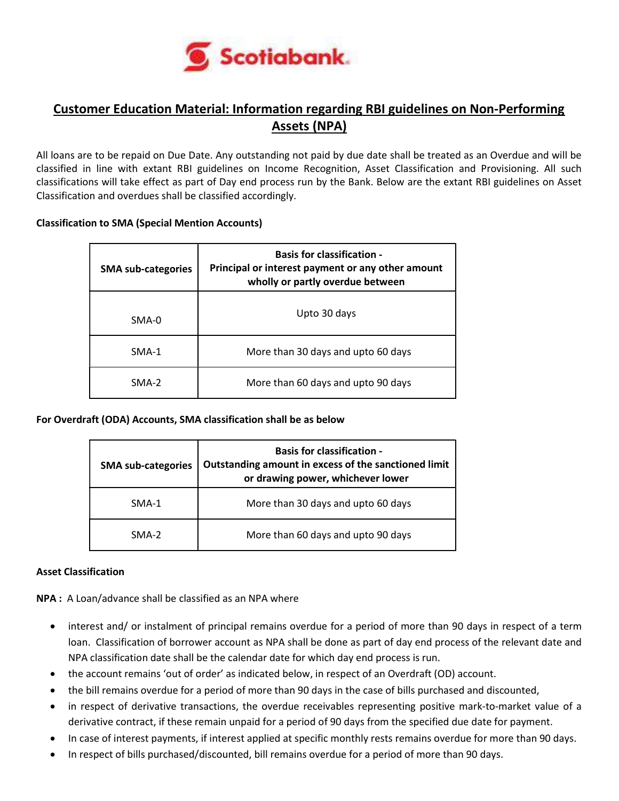

# Customer Education Material: Information regarding RBI guidelines on Non-Performing Assets (NPA)

All loans are to be repaid on Due Date. Any outstanding not paid by due date shall be treated as an Overdue and will be classified in line with extant RBI guidelines on Income Recognition, Asset Classification and Provisioning. All such classifications will take effect as part of Day end process run by the Bank. Below are the extant RBI guidelines on Asset Classification and overdues shall be classified accordingly.

# Classification to SMA (Special Mention Accounts)

| <b>SMA sub-categories</b> | <b>Basis for classification -</b><br>Principal or interest payment or any other amount<br>wholly or partly overdue between |
|---------------------------|----------------------------------------------------------------------------------------------------------------------------|
| SMA-0                     | Upto 30 days                                                                                                               |
| $SMA-1$                   | More than 30 days and upto 60 days                                                                                         |
| SMA-2                     | More than 60 days and upto 90 days                                                                                         |

# For Overdraft (ODA) Accounts, SMA classification shall be as below

| <b>SMA sub-categories</b> | <b>Basis for classification -</b><br>Outstanding amount in excess of the sanctioned limit<br>or drawing power, whichever lower |
|---------------------------|--------------------------------------------------------------------------------------------------------------------------------|
| SMA-1                     | More than 30 days and upto 60 days                                                                                             |
| SMA-2                     | More than 60 days and upto 90 days                                                                                             |

#### Asset Classification

NPA : A Loan/advance shall be classified as an NPA where

- interest and/ or instalment of principal remains overdue for a period of more than 90 days in respect of a term loan. Classification of borrower account as NPA shall be done as part of day end process of the relevant date and NPA classification date shall be the calendar date for which day end process is run.
- the account remains 'out of order' as indicated below, in respect of an Overdraft (OD) account.
- the bill remains overdue for a period of more than 90 days in the case of bills purchased and discounted,
- in respect of derivative transactions, the overdue receivables representing positive mark-to-market value of a derivative contract, if these remain unpaid for a period of 90 days from the specified due date for payment.
- In case of interest payments, if interest applied at specific monthly rests remains overdue for more than 90 days.
- In respect of bills purchased/discounted, bill remains overdue for a period of more than 90 days.